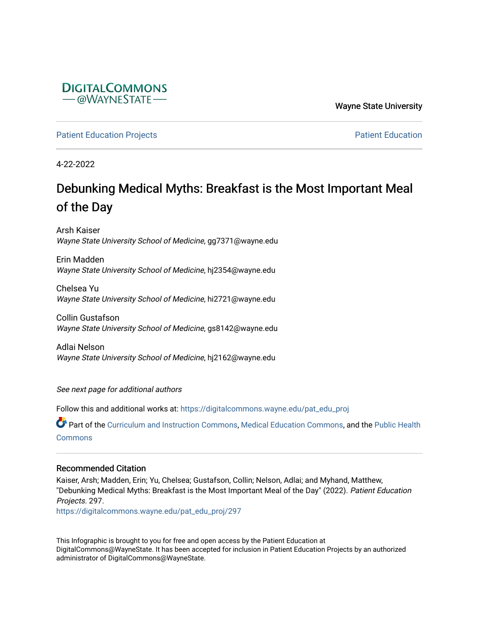

Wayne State University

[Patient Education Projects](https://digitalcommons.wayne.edu/pat_edu_proj) **Patient Education** Projects **Patient Education** 

4-22-2022

#### Debunking Medical Myths: Breakfast is the Most Important Meal of the Day

Arsh Kaiser Wayne State University School of Medicine, gg7371@wayne.edu

Erin Madden Wayne State University School of Medicine, hj2354@wayne.edu

Chelsea Yu Wayne State University School of Medicine, hi2721@wayne.edu

Collin Gustafson Wayne State University School of Medicine, gs8142@wayne.edu

Adlai Nelson Wayne State University School of Medicine, hj2162@wayne.edu

See next page for additional authors

Follow this and additional works at: [https://digitalcommons.wayne.edu/pat\\_edu\\_proj](https://digitalcommons.wayne.edu/pat_edu_proj?utm_source=digitalcommons.wayne.edu%2Fpat_edu_proj%2F297&utm_medium=PDF&utm_campaign=PDFCoverPages)

Part of the [Curriculum and Instruction Commons,](http://network.bepress.com/hgg/discipline/786?utm_source=digitalcommons.wayne.edu%2Fpat_edu_proj%2F297&utm_medium=PDF&utm_campaign=PDFCoverPages) [Medical Education Commons,](http://network.bepress.com/hgg/discipline/1125?utm_source=digitalcommons.wayne.edu%2Fpat_edu_proj%2F297&utm_medium=PDF&utm_campaign=PDFCoverPages) and the [Public Health](http://network.bepress.com/hgg/discipline/738?utm_source=digitalcommons.wayne.edu%2Fpat_edu_proj%2F297&utm_medium=PDF&utm_campaign=PDFCoverPages)  **[Commons](http://network.bepress.com/hgg/discipline/738?utm_source=digitalcommons.wayne.edu%2Fpat_edu_proj%2F297&utm_medium=PDF&utm_campaign=PDFCoverPages)** 

#### Recommended Citation

Kaiser, Arsh; Madden, Erin; Yu, Chelsea; Gustafson, Collin; Nelson, Adlai; and Myhand, Matthew, "Debunking Medical Myths: Breakfast is the Most Important Meal of the Day" (2022). Patient Education Projects. 297.

[https://digitalcommons.wayne.edu/pat\\_edu\\_proj/297](https://digitalcommons.wayne.edu/pat_edu_proj/297?utm_source=digitalcommons.wayne.edu%2Fpat_edu_proj%2F297&utm_medium=PDF&utm_campaign=PDFCoverPages)

This Infographic is brought to you for free and open access by the Patient Education at DigitalCommons@WayneState. It has been accepted for inclusion in Patient Education Projects by an authorized administrator of DigitalCommons@WayneState.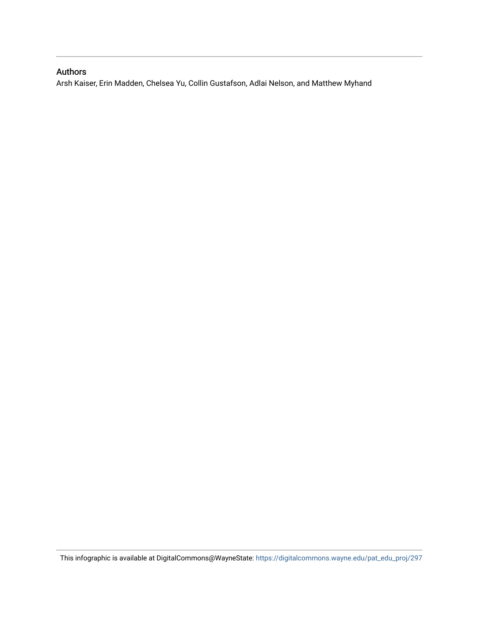#### Authors

Arsh Kaiser, Erin Madden, Chelsea Yu, Collin Gustafson, Adlai Nelson, and Matthew Myhand

This infographic is available at DigitalCommons@WayneState: [https://digitalcommons.wayne.edu/pat\\_edu\\_proj/297](https://digitalcommons.wayne.edu/pat_edu_proj/297)